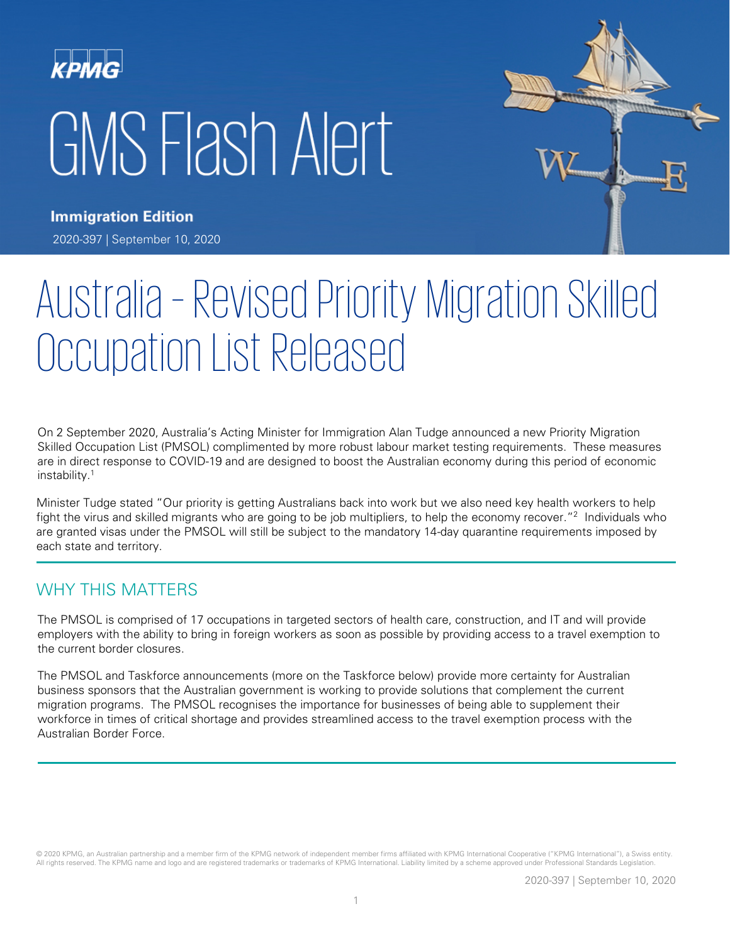# KPMG GMS Flash Alert



**Immigration Edition** 2020-397 | September 10, 2020

# Australia – Revised Priority Migration Skilled Occupation List Released

On 2 September 2020, Australia's Acting Minister for Immigration Alan Tudge announced a new Priority Migration Skilled Occupation List (PMSOL) complimented by more robust labour market testing requirements. These measures are in direct response to COVID-19 and are designed to boost the Australian economy during this period of economic instability. 1

Minister Tudge stated "Our priority is getting Australians back into work but we also need key health workers to help fight the virus and skilled migrants who are going to be job multipliers, to help the economy recover."<sup>2</sup> Individuals who are granted visas under the PMSOL will still be subject to the mandatory 14-day quarantine requirements imposed by each state and territory.

#### WHY THIS MATTERS

The PMSOL is comprised of 17 occupations in targeted sectors of health care, construction, and IT and will provide employers with the ability to bring in foreign workers as soon as possible by providing access to a travel exemption to the current border closures.

The PMSOL and Taskforce announcements (more on the Taskforce below) provide more certainty for Australian business sponsors that the Australian government is working to provide solutions that complement the current migration programs. The PMSOL recognises the importance for businesses of being able to supplement their workforce in times of critical shortage and provides streamlined access to the travel exemption process with the Australian Border Force.

© 2020 KPMG, an Australian partnership and a member firm of the KPMG network of independent member firms affiliated with KPMG International Cooperative ("KPMG International"), a Swiss entity. All rights reserved. The KPMG name and logo and are registered trademarks or trademarks of KPMG International. Liability limited by a scheme approved under Professional Standards Legislation.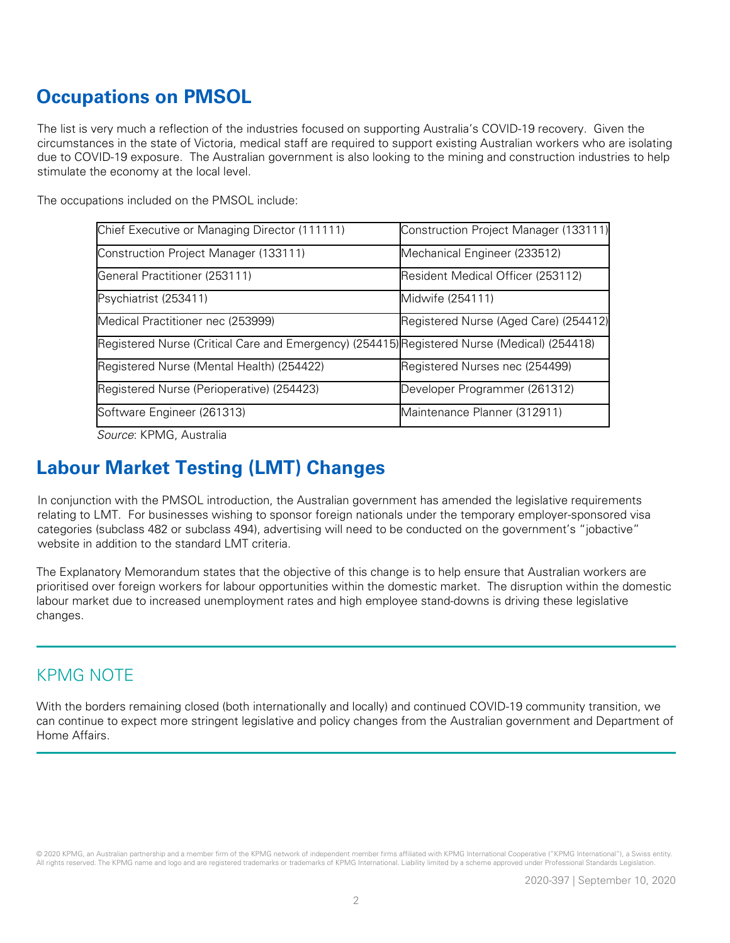# **Occupations on PMSOL**

The list is very much a reflection of the industries focused on supporting Australia's COVID-19 recovery. Given the circumstances in the state of Victoria, medical staff are required to support existing Australian workers who are isolating due to COVID-19 exposure. The Australian government is also looking to the mining and construction industries to help stimulate the economy at the local level.

The occupations included on the PMSOL include:

| Chief Executive or Managing Director (111111)                                               | Construction Project Manager (133111) |
|---------------------------------------------------------------------------------------------|---------------------------------------|
| Construction Project Manager (133111)                                                       | Mechanical Engineer (233512)          |
| General Practitioner (253111)                                                               | Resident Medical Officer (253112)     |
| Psychiatrist (253411)                                                                       | Midwife (254111)                      |
| Medical Practitioner nec (253999)                                                           | Registered Nurse (Aged Care) (254412) |
| Registered Nurse (Critical Care and Emergency) (254415) Registered Nurse (Medical) (254418) |                                       |
| Registered Nurse (Mental Health) (254422)                                                   | Registered Nurses nec (254499)        |
| Registered Nurse (Perioperative) (254423)                                                   | Developer Programmer (261312)         |
| Software Engineer (261313)                                                                  | Maintenance Planner (312911)          |

Source: KPMG, Australia

# **Labour Market Testing (LMT) Changes**

In conjunction with the PMSOL introduction, the Australian government has amended the legislative requirements relating to LMT. For businesses wishing to sponsor foreign nationals under the temporary employer-sponsored visa categories (subclass 482 or subclass 494), advertising will need to be conducted on the government's "jobactive" website in addition to the standard LMT criteria.

The Explanatory Memorandum states that the objective of this change is to help ensure that Australian workers are prioritised over foreign workers for labour opportunities within the domestic market. The disruption within the domestic labour market due to increased unemployment rates and high employee stand-downs is driving these legislative changes.

#### KPMG NOTE

With the borders remaining closed (both internationally and locally) and continued COVID-19 community transition, we can continue to expect more stringent legislative and policy changes from the Australian government and Department of Home Affairs.

© 2020 KPMG, an Australian partnership and a member firm of the KPMG network of independent member firms affiliated with KPMG International Cooperative ("KPMG International"), a Swiss entity. All rights reserved. The KPMG name and logo and are registered trademarks or trademarks of KPMG International. Liability limited by a scheme approved under Professional Standards Legislation.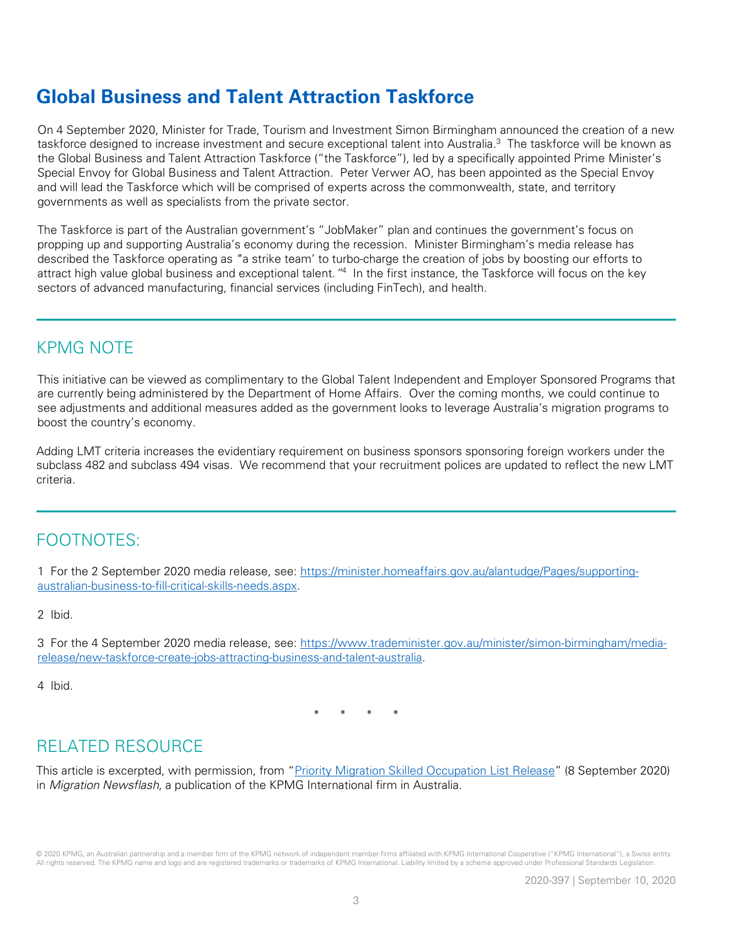## **Global Business and Talent Attraction Taskforce**

On 4 September 2020, Minister for Trade, Tourism and Investment Simon Birmingham announced the creation of a new taskforce designed to increase investment and secure exceptional talent into Australia. <sup>3</sup> The taskforce will be known as the Global Business and Talent Attraction Taskforce ("the Taskforce"), led by a specifically appointed Prime Minister's Special Envoy for Global Business and Talent Attraction. Peter Verwer AO, has been appointed as the Special Envoy and will lead the Taskforce which will be comprised of experts across the commonwealth, state, and territory governments as well as specialists from the private sector.

The Taskforce is part of the Australian government's "JobMaker" plan and continues the government's focus on propping up and supporting Australia's economy during the recession. Minister Birmingham's media release has described the Taskforce operating as "'a strike team' to turbo-charge the creation of jobs by boosting our efforts to attract high value global business and exceptional talent."<sup>4</sup> In the first instance, the Taskforce will focus on the key sectors of advanced manufacturing, financial services (including FinTech), and health.

#### KPMG NOTE

This initiative can be viewed as complimentary to the Global Talent Independent and Employer Sponsored Programs that are currently being administered by the Department of Home Affairs. Over the coming months, we could continue to see adjustments and additional measures added as the government looks to leverage Australia's migration programs to boost the country's economy.

Adding LMT criteria increases the evidentiary requirement on business sponsors sponsoring foreign workers under the subclass 482 and subclass 494 visas. We recommend that your recruitment polices are updated to reflect the new LMT criteria.

### FOOTNOTES:

1 For the 2 September 2020 media release, see: [https://minister.homeaffairs.gov.au/alantudge/Pages/supporting](https://minister.homeaffairs.gov.au/alantudge/Pages/supporting-australian-business-to-fill-critical-skills-needs.aspx)[australian-business-to-fill-critical-skills-needs.aspx.](https://minister.homeaffairs.gov.au/alantudge/Pages/supporting-australian-business-to-fill-critical-skills-needs.aspx)

2 Ibid.

3 For the 4 September 2020 media release, see: [https://www.trademinister.gov.au/minister/simon-birmingham/media](https://www.trademinister.gov.au/minister/simon-birmingham/media-release/new-taskforce-create-jobs-attracting-business-and-talent-australia)[release/new-taskforce-create-jobs-attracting-business-and-talent-australia.](https://www.trademinister.gov.au/minister/simon-birmingham/media-release/new-taskforce-create-jobs-attracting-business-and-talent-australia)

4 Ibid.

\* \* \* \*

### RELATED RESOURCE

This article is excerpted, with permission, from ["Priority Migration Skilled Occupation List Release"](https://home.kpmg/au/en/home/insights/2020/09/migration-newsflash-au-priority-migration-skilled-occupation-list.html) (8 September 2020) in Migration Newsflash, a publication of the KPMG International firm in Australia.